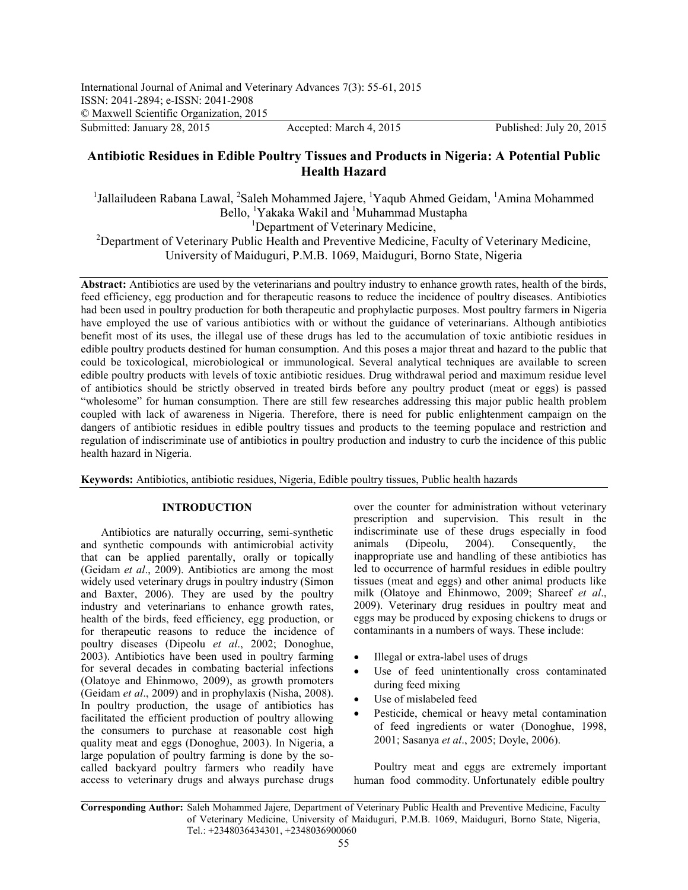Submitted: January 28, 2015 Accepted: March 4, 2015 Published: July 20, 2015

# **Antibiotic Residues in Edible Poultry Tissues and Products in Nigeria: A Potential Public Health Hazard**

<sup>1</sup>Jallailudeen Rabana Lawal, <sup>2</sup>Saleh Mohammed Jajere, <sup>1</sup>Yaqub Ahmed Geidam, <sup>1</sup>Amina Mohammed Bello, <sup>1</sup>Yakaka Wakil and <sup>1</sup>Muhammad Mustapha <sup>1</sup>Department of Veterinary Medicine, <sup>2</sup>Department of Veterinary Public Health and Preventive Medicine, Faculty of Veterinary Medicine,

University of Maiduguri, P.M.B. 1069, Maiduguri, Borno State, Nigeria

**Abstract:** Antibiotics are used by the veterinarians and poultry industry to enhance growth rates, health of the birds, feed efficiency, egg production and for therapeutic reasons to reduce the incidence of poultry diseases. Antibiotics had been used in poultry production for both therapeutic and prophylactic purposes. Most poultry farmers in Nigeria have employed the use of various antibiotics with or without the guidance of veterinarians. Although antibiotics benefit most of its uses, the illegal use of these drugs has led to the accumulation of toxic antibiotic residues in edible poultry products destined for human consumption. And this poses a major threat and hazard to the public that could be toxicological, microbiological or immunological. Several analytical techniques are available to screen edible poultry products with levels of toxic antibiotic residues. Drug withdrawal period and maximum residue level of antibiotics should be strictly observed in treated birds before any poultry product (meat or eggs) is passed "wholesome" for human consumption. There are still few researches addressing this major public health problem coupled with lack of awareness in Nigeria. Therefore, there is need for public enlightenment campaign on the dangers of antibiotic residues in edible poultry tissues and products to the teeming populace and restriction and regulation of indiscriminate use of antibiotics in poultry production and industry to curb the incidence of this public health hazard in Nigeria.

**Keywords:** Antibiotics, antibiotic residues, Nigeria, Edible poultry tissues, Public health hazards

## **INTRODUCTION**

Antibiotics are naturally occurring, semi-synthetic and synthetic compounds with antimicrobial activity that can be applied parentally, orally or topically (Geidam *et al*., 2009). Antibiotics are among the most widely used veterinary drugs in poultry industry (Simon and Baxter, 2006). They are used by the poultry industry and veterinarians to enhance growth rates, health of the birds, feed efficiency, egg production, or for therapeutic reasons to reduce the incidence of poultry diseases (Dipeolu *et al*., 2002; Donoghue, 2003). Antibiotics have been used in poultry farming for several decades in combating bacterial infections (Olatoye and Ehinmowo, 2009), as growth promoters (Geidam *et al*., 2009) and in prophylaxis (Nisha, 2008). In poultry production, the usage of antibiotics has facilitated the efficient production of poultry allowing the consumers to purchase at reasonable cost high quality meat and eggs (Donoghue, 2003). In Nigeria, a large population of poultry farming is done by the socalled backyard poultry farmers who readily have access to veterinary drugs and always purchase drugs

over the counter for administration without veterinary prescription and supervision. This result in the indiscriminate use of these drugs especially in food animals (Dipeolu, 2004). Consequently, the inappropriate use and handling of these antibiotics has led to occurrence of harmful residues in edible poultry tissues (meat and eggs) and other animal products like milk (Olatoye and Ehinmowo, 2009; Shareef *et al*., 2009). Veterinary drug residues in poultry meat and eggs may be produced by exposing chickens to drugs or contaminants in a numbers of ways. These include:

- Illegal or extra-label uses of drugs
- Use of feed unintentionally cross contaminated during feed mixing
- Use of mislabeled feed
- Pesticide, chemical or heavy metal contamination of feed ingredients or water (Donoghue, 1998, 2001; Sasanya *et al*., 2005; Doyle, 2006).

Poultry meat and eggs are extremely important human food commodity. Unfortunately edible poultry

**Corresponding Author:** Saleh Mohammed Jajere, Department of Veterinary Public Health and Preventive Medicine, Faculty of Veterinary Medicine, University of Maiduguri, P.M.B. 1069, Maiduguri, Borno State, Nigeria, Tel.: +2348036434301, +2348036900060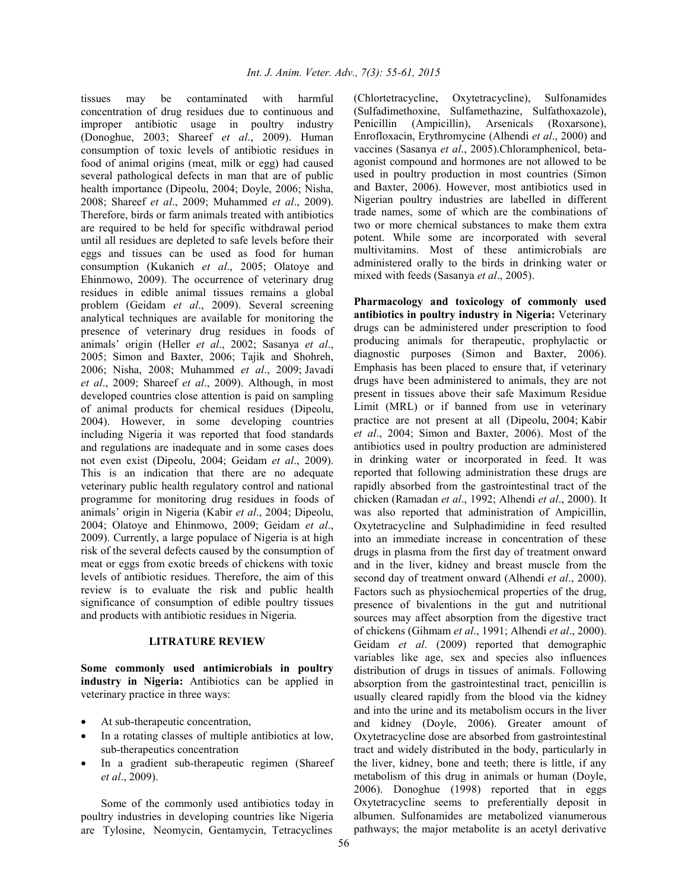tissues may be contaminated with harmful concentration of drug residues due to continuous and improper antibiotic usage in poultry industry (Donoghue, 2003; Shareef *et al*., 2009). Human consumption of toxic levels of antibiotic residues in food of animal origins (meat, milk or egg) had caused several pathological defects in man that are of public health importance (Dipeolu, 2004; Doyle, 2006; Nisha, 2008; Shareef *et al*., 2009; Muhammed *et al*., 2009). Therefore, birds or farm animals treated with antibiotics are required to be held for specific withdrawal period until all residues are depleted to safe levels before their eggs and tissues can be used as food for human consumption (Kukanich *et al*., 2005; Olatoye and Ehinmowo, 2009). The occurrence of veterinary drug residues in edible animal tissues remains a global problem (Geidam *et al*., 2009). Several screening analytical techniques are available for monitoring the presence of veterinary drug residues in foods of animals' origin (Heller *et al*., 2002; Sasanya *et al*., 2005; Simon and Baxter, 2006; Tajik and Shohreh, 2006; Nisha, 2008; Muhammed *et al*., 2009; Javadi *et al*., 2009; Shareef *et al*., 2009). Although, in most developed countries close attention is paid on sampling of animal products for chemical residues (Dipeolu, 2004). However, in some developing countries including Nigeria it was reported that food standards and regulations are inadequate and in some cases does not even exist (Dipeolu, 2004; Geidam *et al*., 2009). This is an indication that there are no adequate veterinary public health regulatory control and national programme for monitoring drug residues in foods of animals' origin in Nigeria (Kabir *et al*., 2004; Dipeolu, 2004; Olatoye and Ehinmowo, 2009; Geidam *et al*., 2009). Currently, a large populace of Nigeria is at high risk of the several defects caused by the consumption of meat or eggs from exotic breeds of chickens with toxic levels of antibiotic residues. Therefore, the aim of this review is to evaluate the risk and public health significance of consumption of edible poultry tissues and products with antibiotic residues in Nigeria.

## **LITRATURE REVIEW**

**Some commonly used antimicrobials in poultry industry in Nigeria:** Antibiotics can be applied in veterinary practice in three ways:

- At sub-therapeutic concentration,
- In a rotating classes of multiple antibiotics at low, sub-therapeutics concentration
- In a gradient sub-therapeutic regimen (Shareef *et al*., 2009).

Some of the commonly used antibiotics today in poultry industries in developing countries like Nigeria are Tylosine, Neomycin, Gentamycin, Tetracyclines (Chlortetracycline, Oxytetracycline), Sulfonamides (Sulfadimethoxine, Sulfamethazine, Sulfathoxazole), Penicillin (Ampicillin), Arsenicals (Roxarsone), Enrofloxacin, Erythromycine (Alhendi *et al*., 2000) and vaccines (Sasanya *et al*., 2005).Chloramphenicol, betaagonist compound and hormones are not allowed to be used in poultry production in most countries (Simon and Baxter, 2006). However, most antibiotics used in Nigerian poultry industries are labelled in different trade names, some of which are the combinations of two or more chemical substances to make them extra potent. While some are incorporated with several multivitamins. Most of these antimicrobials are administered orally to the birds in drinking water or mixed with feeds (Sasanya *et al*., 2005).

**Pharmacology and toxicology of commonly used antibiotics in poultry industry in Nigeria:** Veterinary drugs can be administered under prescription to food producing animals for therapeutic, prophylactic or diagnostic purposes (Simon and Baxter, 2006). Emphasis has been placed to ensure that, if veterinary drugs have been administered to animals, they are not present in tissues above their safe Maximum Residue Limit (MRL) or if banned from use in veterinary practice are not present at all (Dipeolu, 2004; Kabir *et al*., 2004; Simon and Baxter, 2006). Most of the antibiotics used in poultry production are administered in drinking water or incorporated in feed. It was reported that following administration these drugs are rapidly absorbed from the gastrointestinal tract of the chicken (Ramadan *et al*., 1992; Alhendi *et al*., 2000). It was also reported that administration of Ampicillin, Oxytetracycline and Sulphadimidine in feed resulted into an immediate increase in concentration of these drugs in plasma from the first day of treatment onward and in the liver, kidney and breast muscle from the second day of treatment onward (Alhendi *et al*., 2000). Factors such as physiochemical properties of the drug, presence of bivalentions in the gut and nutritional sources may affect absorption from the digestive tract of chickens (Gihmam *et al*., 1991; Alhendi *et al*., 2000). Geidam *et al*. (2009) reported that demographic variables like age, sex and species also influences distribution of drugs in tissues of animals. Following absorption from the gastrointestinal tract, penicillin is usually cleared rapidly from the blood via the kidney and into the urine and its metabolism occurs in the liver and kidney (Doyle, 2006). Greater amount of Oxytetracycline dose are absorbed from gastrointestinal tract and widely distributed in the body, particularly in the liver, kidney, bone and teeth; there is little, if any metabolism of this drug in animals or human (Doyle, 2006). Donoghue (1998) reported that in eggs Oxytetracycline seems to preferentially deposit in albumen. Sulfonamides are metabolized vianumerous pathways; the major metabolite is an acetyl derivative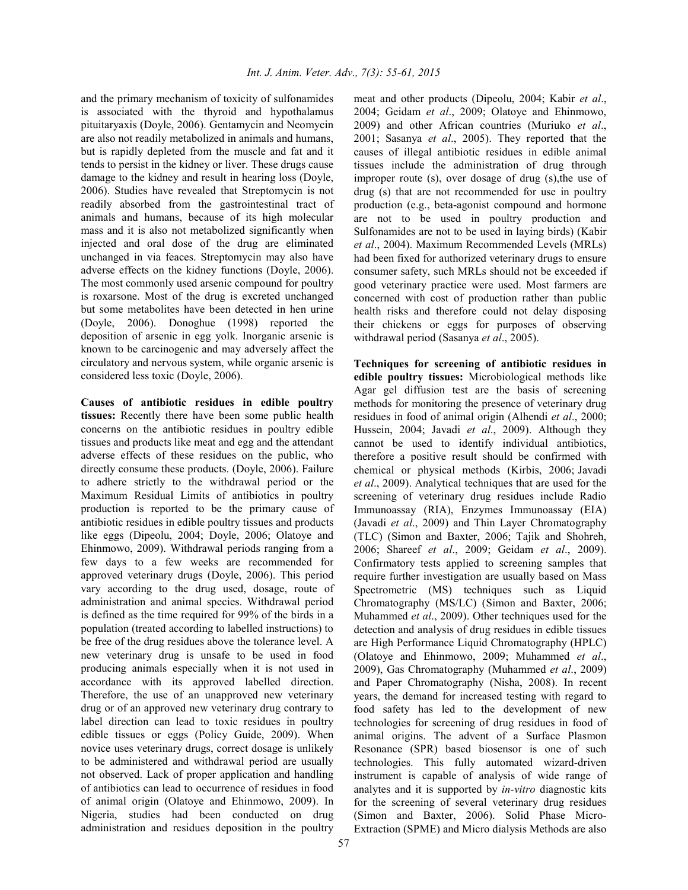and the primary mechanism of toxicity of sulfonamides is associated with the thyroid and hypothalamus pituitaryaxis (Doyle, 2006). Gentamycin and Neomycin are also not readily metabolized in animals and humans, but is rapidly depleted from the muscle and fat and it tends to persist in the kidney or liver. These drugs cause damage to the kidney and result in hearing loss (Doyle, 2006). Studies have revealed that Streptomycin is not readily absorbed from the gastrointestinal tract of animals and humans, because of its high molecular mass and it is also not metabolized significantly when injected and oral dose of the drug are eliminated unchanged in via feaces. Streptomycin may also have adverse effects on the kidney functions (Doyle, 2006). The most commonly used arsenic compound for poultry is roxarsone. Most of the drug is excreted unchanged but some metabolites have been detected in hen urine (Doyle, 2006). Donoghue (1998) reported the deposition of arsenic in egg yolk. Inorganic arsenic is known to be carcinogenic and may adversely affect the circulatory and nervous system, while organic arsenic is considered less toxic (Doyle, 2006).

**Causes of antibiotic residues in edible poultry tissues:** Recently there have been some public health concerns on the antibiotic residues in poultry edible tissues and products like meat and egg and the attendant adverse effects of these residues on the public, who directly consume these products. (Doyle, 2006). Failure to adhere strictly to the withdrawal period or the Maximum Residual Limits of antibiotics in poultry production is reported to be the primary cause of antibiotic residues in edible poultry tissues and products like eggs (Dipeolu, 2004; Doyle, 2006; Olatoye and Ehinmowo, 2009). Withdrawal periods ranging from a few days to a few weeks are recommended for approved veterinary drugs (Doyle, 2006). This period vary according to the drug used, dosage, route of administration and animal species. Withdrawal period is defined as the time required for 99% of the birds in a population (treated according to labelled instructions) to be free of the drug residues above the tolerance level. A new veterinary drug is unsafe to be used in food producing animals especially when it is not used in accordance with its approved labelled direction. Therefore, the use of an unapproved new veterinary drug or of an approved new veterinary drug contrary to label direction can lead to toxic residues in poultry edible tissues or eggs (Policy Guide, 2009). When novice uses veterinary drugs, correct dosage is unlikely to be administered and withdrawal period are usually not observed. Lack of proper application and handling of antibiotics can lead to occurrence of residues in food of animal origin (Olatoye and Ehinmowo, 2009). In Nigeria, studies had been conducted on drug administration and residues deposition in the poultry

meat and other products (Dipeolu, 2004; Kabir *et al*., 2004; Geidam *et al*., 2009; Olatoye and Ehinmowo, 2009) and other African countries (Muriuko *et al*., 2001; Sasanya *et al*., 2005). They reported that the causes of illegal antibiotic residues in edible animal tissues include the administration of drug through improper route (s), over dosage of drug (s),the use of drug (s) that are not recommended for use in poultry production (e.g., beta-agonist compound and hormone are not to be used in poultry production and Sulfonamides are not to be used in laying birds) (Kabir *et al*., 2004). Maximum Recommended Levels (MRLs) had been fixed for authorized veterinary drugs to ensure consumer safety, such MRLs should not be exceeded if good veterinary practice were used. Most farmers are concerned with cost of production rather than public health risks and therefore could not delay disposing their chickens or eggs for purposes of observing withdrawal period (Sasanya *et al*., 2005).

**Techniques for screening of antibiotic residues in edible poultry tissues:** Microbiological methods like Agar gel diffusion test are the basis of screening methods for monitoring the presence of veterinary drug residues in food of animal origin (Alhendi *et al*., 2000; Hussein, 2004; Javadi *et al*., 2009). Although they cannot be used to identify individual antibiotics, therefore a positive result should be confirmed with chemical or physical methods (Kirbis, 2006; Javadi *et al*., 2009). Analytical techniques that are used for the screening of veterinary drug residues include Radio Immunoassay (RIA), Enzymes Immunoassay (EIA) (Javadi *et al*., 2009) and Thin Layer Chromatography (TLC) (Simon and Baxter, 2006; Tajik and Shohreh, 2006; Shareef *et al*., 2009; Geidam *et al*., 2009). Confirmatory tests applied to screening samples that require further investigation are usually based on Mass Spectrometric (MS) techniques such as Liquid Chromatography (MS/LC) (Simon and Baxter, 2006; Muhammed *et al*., 2009). Other techniques used for the detection and analysis of drug residues in edible tissues are High Performance Liquid Chromatography (HPLC) (Olatoye and Ehinmowo, 2009; Muhammed *et al*., 2009), Gas Chromatography (Muhammed *et al*., 2009) and Paper Chromatography (Nisha, 2008). In recent years, the demand for increased testing with regard to food safety has led to the development of new technologies for screening of drug residues in food of animal origins. The advent of a Surface Plasmon Resonance (SPR) based biosensor is one of such technologies. This fully automated wizard-driven instrument is capable of analysis of wide range of analytes and it is supported by *in-vitro* diagnostic kits for the screening of several veterinary drug residues (Simon and Baxter, 2006). Solid Phase Micro-Extraction (SPME) and Micro dialysis Methods are also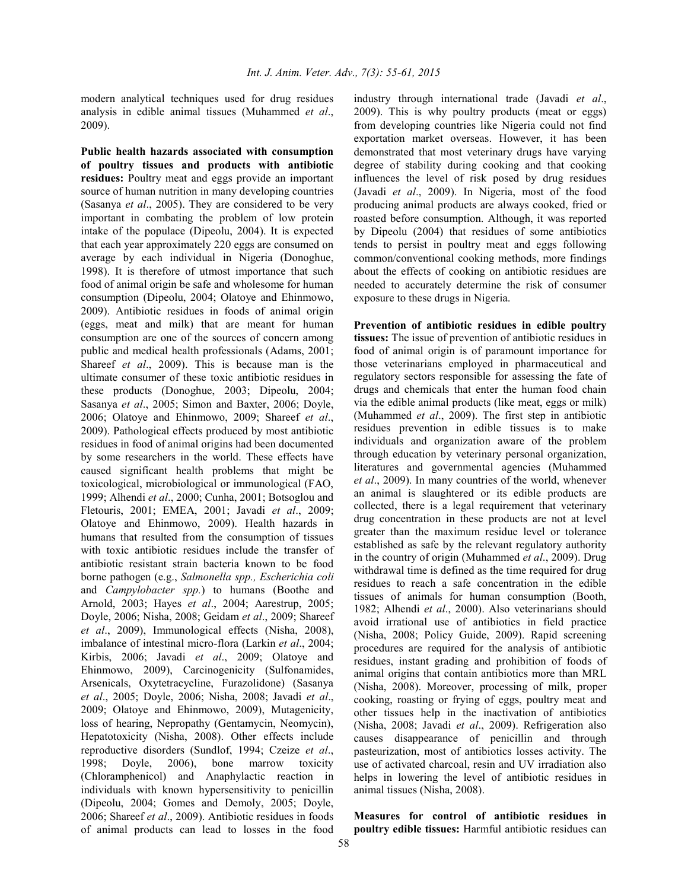modern analytical techniques used for drug residues analysis in edible animal tissues (Muhammed *et al*., 2009).

**Public health hazards associated with consumption of poultry tissues and products with antibiotic residues:** Poultry meat and eggs provide an important source of human nutrition in many developing countries (Sasanya *et al*., 2005). They are considered to be very important in combating the problem of low protein intake of the populace (Dipeolu, 2004). It is expected that each year approximately 220 eggs are consumed on average by each individual in Nigeria (Donoghue, 1998). It is therefore of utmost importance that such food of animal origin be safe and wholesome for human consumption (Dipeolu, 2004; Olatoye and Ehinmowo, 2009). Antibiotic residues in foods of animal origin (eggs, meat and milk) that are meant for human consumption are one of the sources of concern among public and medical health professionals (Adams, 2001; Shareef *et al*., 2009). This is because man is the ultimate consumer of these toxic antibiotic residues in these products (Donoghue, 2003; Dipeolu, 2004; Sasanya *et al*., 2005; Simon and Baxter, 2006; Doyle, 2006; Olatoye and Ehinmowo, 2009; Shareef *et al*., 2009). Pathological effects produced by most antibiotic residues in food of animal origins had been documented by some researchers in the world. These effects have caused significant health problems that might be toxicological, microbiological or immunological (FAO, 1999; Alhendi *et al*., 2000; Cunha, 2001; Botsoglou and Fletouris, 2001; EMEA, 2001; Javadi *et al*., 2009; Olatoye and Ehinmowo, 2009). Health hazards in humans that resulted from the consumption of tissues with toxic antibiotic residues include the transfer of antibiotic resistant strain bacteria known to be food borne pathogen (e.g., *Salmonella spp., Escherichia coli* and *Campylobacter spp.*) to humans (Boothe and Arnold, 2003; Hayes *et al*., 2004; Aarestrup, 2005; Doyle, 2006; Nisha, 2008; Geidam *et al*., 2009; Shareef *et al*., 2009), Immunological effects (Nisha, 2008), imbalance of intestinal micro-flora (Larkin *et al*., 2004; Kirbis, 2006; Javadi *et al*., 2009; Olatoye and Ehinmowo, 2009), Carcinogenicity (Sulfonamides, Arsenicals, Oxytetracycline, Furazolidone) (Sasanya *et al*., 2005; Doyle, 2006; Nisha, 2008; Javadi *et al*., 2009; Olatoye and Ehinmowo, 2009), Mutagenicity, loss of hearing, Nepropathy (Gentamycin, Neomycin), Hepatotoxicity (Nisha, 2008). Other effects include reproductive disorders (Sundlof, 1994; Czeize *et al*., 1998; Doyle, 2006), bone marrow toxicity (Chloramphenicol) and Anaphylactic reaction in individuals with known hypersensitivity to penicillin (Dipeolu, 2004; Gomes and Demoly, 2005; Doyle, 2006; Shareef *et al*., 2009). Antibiotic residues in foods of animal products can lead to losses in the food

industry through international trade (Javadi *et al*., 2009). This is why poultry products (meat or eggs) from developing countries like Nigeria could not find exportation market overseas. However, it has been demonstrated that most veterinary drugs have varying degree of stability during cooking and that cooking influences the level of risk posed by drug residues (Javadi *et al*., 2009). In Nigeria, most of the food producing animal products are always cooked, fried or roasted before consumption. Although, it was reported by Dipeolu (2004) that residues of some antibiotics tends to persist in poultry meat and eggs following common/conventional cooking methods, more findings about the effects of cooking on antibiotic residues are needed to accurately determine the risk of consumer exposure to these drugs in Nigeria.

**Prevention of antibiotic residues in edible poultry tissues:** The issue of prevention of antibiotic residues in food of animal origin is of paramount importance for those veterinarians employed in pharmaceutical and regulatory sectors responsible for assessing the fate of drugs and chemicals that enter the human food chain via the edible animal products (like meat, eggs or milk) (Muhammed *et al*., 2009). The first step in antibiotic residues prevention in edible tissues is to make individuals and organization aware of the problem through education by veterinary personal organization, literatures and governmental agencies (Muhammed *et al*., 2009). In many countries of the world, whenever an animal is slaughtered or its edible products are collected, there is a legal requirement that veterinary drug concentration in these products are not at level greater than the maximum residue level or tolerance established as safe by the relevant regulatory authority in the country of origin (Muhammed *et al*., 2009). Drug withdrawal time is defined as the time required for drug residues to reach a safe concentration in the edible tissues of animals for human consumption (Booth, 1982; Alhendi *et al*., 2000). Also veterinarians should avoid irrational use of antibiotics in field practice (Nisha, 2008; Policy Guide, 2009). Rapid screening procedures are required for the analysis of antibiotic residues, instant grading and prohibition of foods of animal origins that contain antibiotics more than MRL (Nisha, 2008). Moreover, processing of milk, proper cooking, roasting or frying of eggs, poultry meat and other tissues help in the inactivation of antibiotics (Nisha, 2008; Javadi *et al*., 2009). Refrigeration also causes disappearance of penicillin and through pasteurization, most of antibiotics losses activity. The use of activated charcoal, resin and UV irradiation also helps in lowering the level of antibiotic residues in animal tissues (Nisha, 2008).

**Measures for control of antibiotic residues in poultry edible tissues:** Harmful antibiotic residues can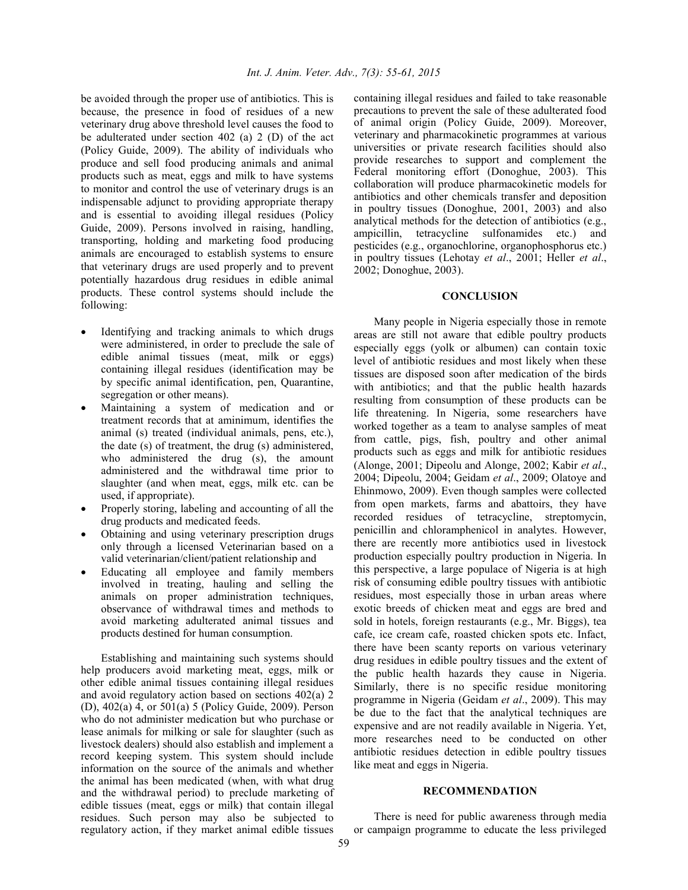be avoided through the proper use of antibiotics. This is because, the presence in food of residues of a new veterinary drug above threshold level causes the food to be adulterated under section 402 (a) 2 (D) of the act (Policy Guide, 2009). The ability of individuals who produce and sell food producing animals and animal products such as meat, eggs and milk to have systems to monitor and control the use of veterinary drugs is an indispensable adjunct to providing appropriate therapy and is essential to avoiding illegal residues (Policy Guide, 2009). Persons involved in raising, handling, transporting, holding and marketing food producing animals are encouraged to establish systems to ensure that veterinary drugs are used properly and to prevent potentially hazardous drug residues in edible animal products. These control systems should include the following:

- Identifying and tracking animals to which drugs were administered, in order to preclude the sale of edible animal tissues (meat, milk or eggs) containing illegal residues (identification may be by specific animal identification, pen, Quarantine, segregation or other means).
- Maintaining a system of medication and or treatment records that at aminimum, identifies the animal (s) treated (individual animals, pens, etc.), the date (s) of treatment, the drug (s) administered, who administered the drug (s), the amount administered and the withdrawal time prior to slaughter (and when meat, eggs, milk etc. can be used, if appropriate).
- Properly storing, labeling and accounting of all the drug products and medicated feeds.
- Obtaining and using veterinary prescription drugs only through a licensed Veterinarian based on a valid veterinarian/client/patient relationship and
- Educating all employee and family members involved in treating, hauling and selling the animals on proper administration techniques, observance of withdrawal times and methods to avoid marketing adulterated animal tissues and products destined for human consumption.

Establishing and maintaining such systems should help producers avoid marketing meat, eggs, milk or other edible animal tissues containing illegal residues and avoid regulatory action based on sections 402(a) 2 (D), 402(a) 4, or 501(a) 5 (Policy Guide, 2009). Person who do not administer medication but who purchase or lease animals for milking or sale for slaughter (such as livestock dealers) should also establish and implement a record keeping system. This system should include information on the source of the animals and whether the animal has been medicated (when, with what drug and the withdrawal period) to preclude marketing of edible tissues (meat, eggs or milk) that contain illegal residues. Such person may also be subjected to regulatory action, if they market animal edible tissues

containing illegal residues and failed to take reasonable precautions to prevent the sale of these adulterated food of animal origin (Policy Guide, 2009). Moreover, veterinary and pharmacokinetic programmes at various universities or private research facilities should also provide researches to support and complement the Federal monitoring effort (Donoghue, 2003). This collaboration will produce pharmacokinetic models for antibiotics and other chemicals transfer and deposition in poultry tissues (Donoghue, 2001, 2003) and also analytical methods for the detection of antibiotics (e.g., ampicillin, tetracycline sulfonamides etc.) and pesticides (e.g., organochlorine, organophosphorus etc.) in poultry tissues (Lehotay *et al*., 2001; Heller *et al*., 2002; Donoghue, 2003).

#### **CONCLUSION**

Many people in Nigeria especially those in remote areas are still not aware that edible poultry products especially eggs (yolk or albumen) can contain toxic level of antibiotic residues and most likely when these tissues are disposed soon after medication of the birds with antibiotics; and that the public health hazards resulting from consumption of these products can be life threatening. In Nigeria, some researchers have worked together as a team to analyse samples of meat from cattle, pigs, fish, poultry and other animal products such as eggs and milk for antibiotic residues (Alonge, 2001; Dipeolu and Alonge, 2002; Kabir *et al*., 2004; Dipeolu, 2004; Geidam *et al*., 2009; Olatoye and Ehinmowo, 2009). Even though samples were collected from open markets, farms and abattoirs, they have recorded residues of tetracycline, streptomycin, penicillin and chloramphenicol in analytes. However, there are recently more antibiotics used in livestock production especially poultry production in Nigeria. In this perspective, a large populace of Nigeria is at high risk of consuming edible poultry tissues with antibiotic residues, most especially those in urban areas where exotic breeds of chicken meat and eggs are bred and sold in hotels, foreign restaurants (e.g., Mr. Biggs), tea cafe, ice cream cafe, roasted chicken spots etc. Infact, there have been scanty reports on various veterinary drug residues in edible poultry tissues and the extent of the public health hazards they cause in Nigeria. Similarly, there is no specific residue monitoring programme in Nigeria (Geidam *et al*., 2009). This may be due to the fact that the analytical techniques are expensive and are not readily available in Nigeria. Yet, more researches need to be conducted on other antibiotic residues detection in edible poultry tissues like meat and eggs in Nigeria.

## **RECOMMENDATION**

There is need for public awareness through media or campaign programme to educate the less privileged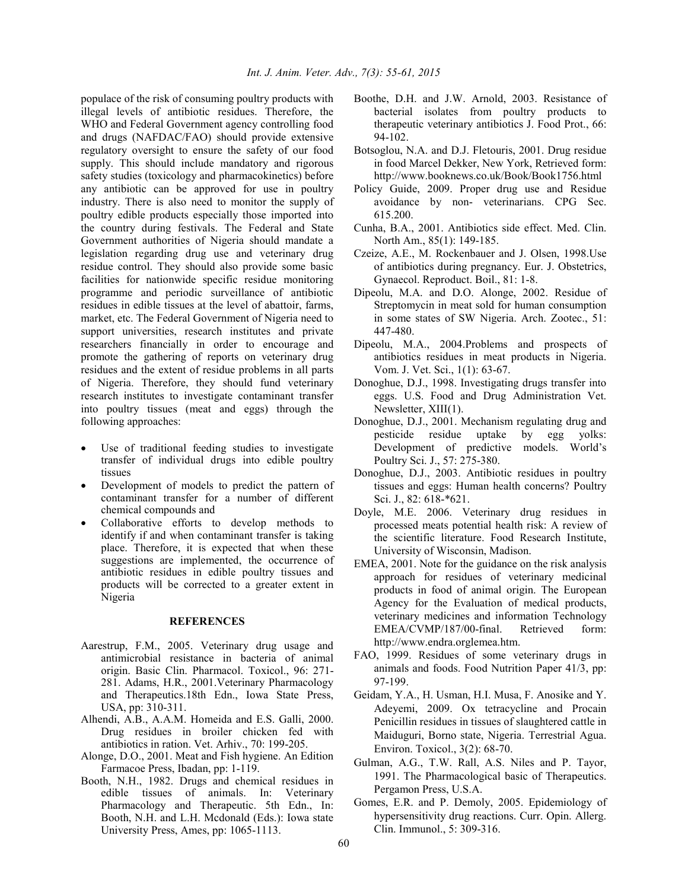populace of the risk of consuming poultry products with illegal levels of antibiotic residues. Therefore, the WHO and Federal Government agency controlling food and drugs (NAFDAC/FAO) should provide extensive regulatory oversight to ensure the safety of our food supply. This should include mandatory and rigorous safety studies (toxicology and pharmacokinetics) before any antibiotic can be approved for use in poultry industry. There is also need to monitor the supply of poultry edible products especially those imported into the country during festivals. The Federal and State Government authorities of Nigeria should mandate a legislation regarding drug use and veterinary drug residue control. They should also provide some basic facilities for nationwide specific residue monitoring programme and periodic surveillance of antibiotic residues in edible tissues at the level of abattoir, farms, market, etc. The Federal Government of Nigeria need to support universities, research institutes and private researchers financially in order to encourage and promote the gathering of reports on veterinary drug residues and the extent of residue problems in all parts of Nigeria. Therefore, they should fund veterinary research institutes to investigate contaminant transfer into poultry tissues (meat and eggs) through the following approaches:

- Use of traditional feeding studies to investigate transfer of individual drugs into edible poultry tissues
- Development of models to predict the pattern of contaminant transfer for a number of different chemical compounds and
- Collaborative efforts to develop methods to identify if and when contaminant transfer is taking place. Therefore, it is expected that when these suggestions are implemented, the occurrence of antibiotic residues in edible poultry tissues and products will be corrected to a greater extent in Nigeria

#### **REFERENCES**

- Aarestrup, F.M., 2005. Veterinary drug usage and antimicrobial resistance in bacteria of animal origin. Basic Clin. Pharmacol. Toxicol., 96: 271- 281. Adams, H.R., 2001.Veterinary Pharmacology and Therapeutics.18th Edn., Iowa State Press, USA, pp: 310-311.
- Alhendi, A.B., A.A.M. Homeida and E.S. Galli, 2000. Drug residues in broiler chicken fed with antibiotics in ration. Vet. Arhiv., 70: 199-205.
- Alonge, D.O., 2001. Meat and Fish hygiene. An Edition Farmacoe Press, Ibadan, pp: 1-119.
- Booth, N.H., 1982. Drugs and chemical residues in edible tissues of animals. In: Veterinary Pharmacology and Therapeutic. 5th Edn., In: Booth, N.H. and L.H. Mcdonald (Eds.): Iowa state University Press, Ames, pp: 1065-1113.
- Boothe, D.H. and J.W. Arnold, 2003. Resistance of bacterial isolates from poultry products to therapeutic veterinary antibiotics J. Food Prot., 66: 94-102.
- Botsoglou, N.A. and D.J. Fletouris, 2001. Drug residue in food Marcel Dekker, New York, Retrieved form: http://www.booknews.co.uk/Book/Book1756.html
- Policy Guide, 2009. Proper drug use and Residue avoidance by non- veterinarians. CPG Sec. 615.200.
- Cunha, B.A., 2001. Antibiotics side effect. Med. Clin. North Am., 85(1): 149-185.
- Czeize, A.E., M. Rockenbauer and J. Olsen, 1998.Use of antibiotics during pregnancy. Eur. J. Obstetrics, Gynaecol. Reproduct. Boil., 81: 1-8.
- Dipeolu, M.A. and D.O. Alonge, 2002. Residue of Streptomycin in meat sold for human consumption in some states of SW Nigeria. Arch. Zootec., 51: 447-480.
- Dipeolu, M.A., 2004.Problems and prospects of antibiotics residues in meat products in Nigeria. Vom. J. Vet. Sci., 1(1): 63-67.
- Donoghue, D.J., 1998. Investigating drugs transfer into eggs. U.S. Food and Drug Administration Vet. Newsletter, XIII(1).
- Donoghue, D.J., 2001. Mechanism regulating drug and pesticide residue uptake by egg yolks: Development of predictive models. World's Poultry Sci. J., 57: 275-380.
- Donoghue, D.J., 2003. Antibiotic residues in poultry tissues and eggs: Human health concerns? Poultry Sci. J., 82: 618-\*621.
- Doyle, M.E. 2006. Veterinary drug residues in processed meats potential health risk: A review of the scientific literature. Food Research Institute, University of Wisconsin, Madison.
- EMEA, 2001. Note for the guidance on the risk analysis approach for residues of veterinary medicinal products in food of animal origin. The European Agency for the Evaluation of medical products, veterinary medicines and information Technology EMEA/CVMP/187/00-final. Retrieved form: http://www.endra.orglemea.htm.
- FAO, 1999. Residues of some veterinary drugs in animals and foods. Food Nutrition Paper 41/3, pp: 97-199.
- Geidam, Y.A., H. Usman, H.I. Musa, F. Anosike and Y. Adeyemi, 2009. Ox tetracycline and Procain Penicillin residues in tissues of slaughtered cattle in Maiduguri, Borno state, Nigeria. Terrestrial Agua. Environ. Toxicol., 3(2): 68-70.
- Gulman, A.G., T.W. Rall, A.S. Niles and P. Tayor, 1991. The Pharmacological basic of Therapeutics. Pergamon Press, U.S.A.
- Gomes, E.R. and P. Demoly, 2005. Epidemiology of hypersensitivity drug reactions. Curr. Opin. Allerg. Clin. Immunol., 5: 309-316.